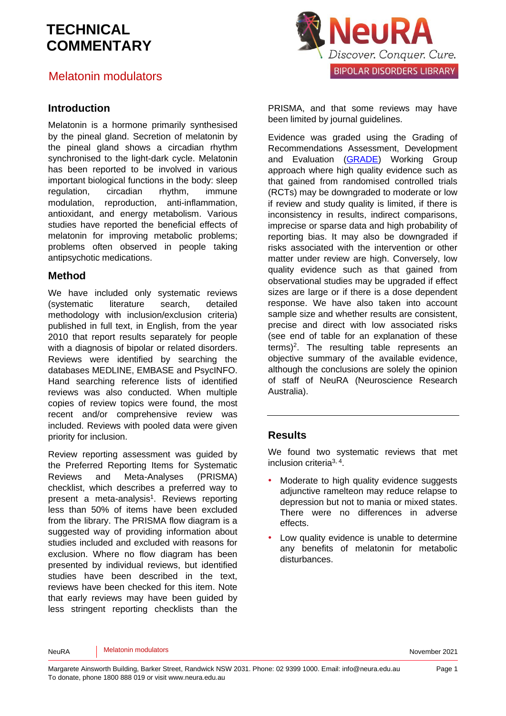### Melatonin modulators

#### **Introduction**

Melatonin is a hormone primarily synthesised by the pineal gland. Secretion of melatonin by the pineal gland shows a circadian rhythm synchronised to the light-dark cycle. Melatonin has been reported to be involved in various important biological functions in the body: sleep regulation, circadian rhythm, immune modulation, reproduction, anti-inflammation, antioxidant, and energy metabolism. Various studies have reported the beneficial effects of melatonin for improving metabolic problems; problems often observed in people taking antipsychotic medications.

#### **Method**

We have included only systematic reviews (systematic literature search, detailed methodology with inclusion/exclusion criteria) published in full text, in English, from the year 2010 that report results separately for people with a diagnosis of bipolar or related disorders. Reviews were identified by searching the databases MEDLINE, EMBASE and PsycINFO. Hand searching reference lists of identified reviews was also conducted. When multiple copies of review topics were found, the most recent and/or comprehensive review was included. Reviews with pooled data were given priority for inclusion.

Review reporting assessment was guided by the Preferred Reporting Items for Systematic Reviews and Meta-Analyses (PRISMA) checklist, which describes a preferred way to present a meta-analysis<sup>[1](#page-5-0)</sup>. Reviews reporting less than 50% of items have been excluded from the library. The PRISMA flow diagram is a suggested way of providing information about studies included and excluded with reasons for exclusion. Where no flow diagram has been presented by individual reviews, but identified studies have been described in the text, reviews have been checked for this item. Note that early reviews may have been guided by less stringent reporting checklists than the



PRISMA, and that some reviews may have been limited by journal guidelines.

Evidence was graded using the Grading of Recommendations Assessment, Development and Evaluation [\(GRADE\)](http://www.gradeworkinggroup.org/) Working Group approach where high quality evidence such as that gained from randomised controlled trials (RCTs) may be downgraded to moderate or low if review and study quality is limited, if there is inconsistency in results, indirect comparisons, imprecise or sparse data and high probability of reporting bias. It may also be downgraded if risks associated with the intervention or other matter under review are high. Conversely, low quality evidence such as that gained from observational studies may be upgraded if effect sizes are large or if there is a dose dependent response. We have also taken into account sample size and whether results are consistent, precise and direct with low associated risks (see end of table for an explanation of these terms)[2](#page-5-1) . The resulting table represents an objective summary of the available evidence, although the conclusions are solely the opinion of staff of NeuRA (Neuroscience Research Australia).

### **Results**

We found two systematic reviews that met inclusion criteria<sup>[3,](#page-5-2) [4](#page-5-3)</sup>.

- Moderate to high quality evidence suggests adjunctive ramelteon may reduce relapse to depression but not to mania or mixed states. There were no differences in adverse effects.
- Low quality evidence is unable to determine any benefits of melatonin for metabolic disturbances.

NeuRA Melatonin modulators November 2021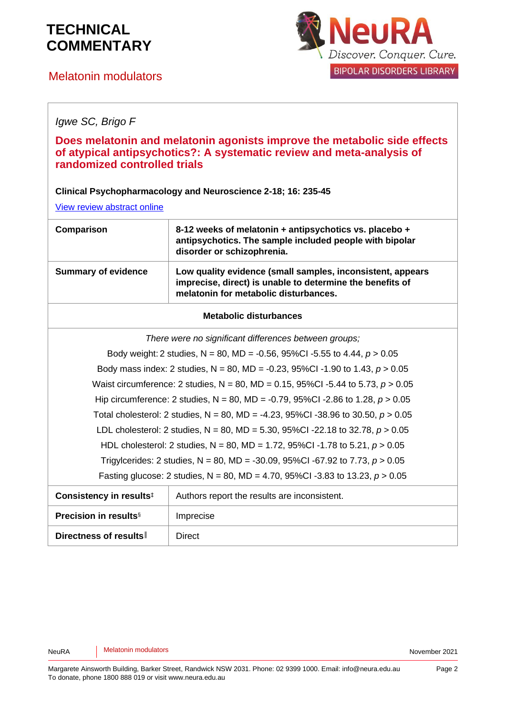## Melatonin modulators



### *Igwe SC, Brigo F*

### **Does melatonin and melatonin agonists improve the metabolic side effects of atypical antipsychotics?: A systematic review and meta-analysis of randomized controlled trials**

**Clinical Psychopharmacology and Neuroscience 2-18; 16: 235-45**

[View review abstract online](https://www.ncbi.nlm.nih.gov/pubmed/30121990)

| Comparison                 | 8-12 weeks of melatonin + antipsychotics vs. placebo +<br>antipsychotics. The sample included people with bipolar<br>disorder or schizophrenia.                  |
|----------------------------|------------------------------------------------------------------------------------------------------------------------------------------------------------------|
| <b>Summary of evidence</b> | Low quality evidence (small samples, inconsistent, appears<br>imprecise, direct) is unable to determine the benefits of<br>melatonin for metabolic disturbances. |

#### **Metabolic disturbances**

*There were no significant differences between groups;*

Body weight: 2 studies, N = 80, MD = -0.56, 95%CI -5.55 to 4.44, *p* > 0.05 Body mass index: 2 studies, N = 80, MD = -0.23, 95%CI -1.90 to 1.43, *p* > 0.05 Waist circumference: 2 studies, N = 80, MD = 0.15, 95%CI -5.44 to 5.73, *p* > 0.05 Hip circumference: 2 studies, N = 80, MD = -0.79, 95%CI -2.86 to 1.28, *p* > 0.05 Total cholesterol: 2 studies, N = 80, MD = -4.23, 95%CI -38.96 to 30.50, *p* > 0.05 LDL cholesterol: 2 studies, N = 80, MD = 5.30, 95%CI -22.18 to 32.78, *p* > 0.05 HDL cholesterol: 2 studies, N = 80, MD = 1.72, 95%CI -1.78 to 5.21, *p* > 0.05 Trigylcerides: 2 studies, N = 80, MD = -30.09, 95%CI -67.92 to 7.73, *p* > 0.05 Fasting glucose: 2 studies, N = 80, MD = 4.70, 95%CI -3.83 to 13.23, *p* > 0.05

| Consistency in results <sup>‡</sup>      | Authors report the results are inconsistent. |
|------------------------------------------|----------------------------------------------|
| <b>Precision in results</b> <sup>§</sup> | Imprecise                                    |
| Directness of results                    | Direct                                       |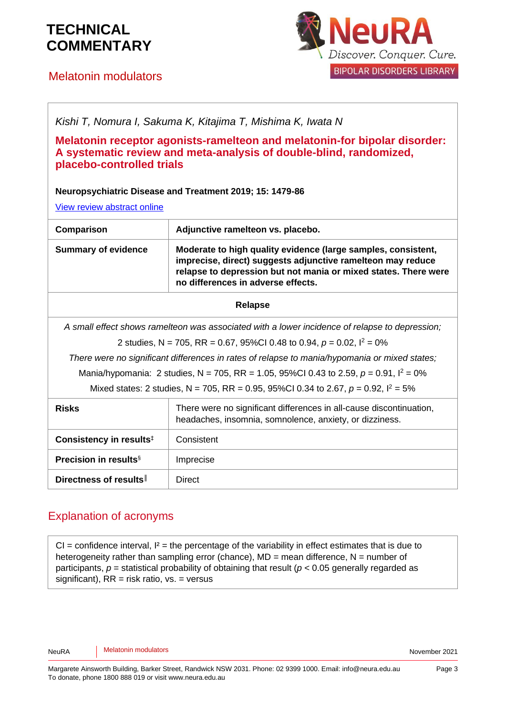# Melatonin modulators



| Kishi T, Nomura I, Sakuma K, Kitajima T, Mishima K, Iwata N<br>Melatonin receptor agonists-ramelteon and melatonin-for bipolar disorder:<br>A systematic review and meta-analysis of double-blind, randomized,<br>placebo-controlled trials<br>Neuropsychiatric Disease and Treatment 2019; 15: 1479-86<br>View review abstract online |                                                                                                                                                                                                                                       |  |
|----------------------------------------------------------------------------------------------------------------------------------------------------------------------------------------------------------------------------------------------------------------------------------------------------------------------------------------|---------------------------------------------------------------------------------------------------------------------------------------------------------------------------------------------------------------------------------------|--|
| Comparison                                                                                                                                                                                                                                                                                                                             | Adjunctive ramelteon vs. placebo.                                                                                                                                                                                                     |  |
| <b>Summary of evidence</b>                                                                                                                                                                                                                                                                                                             | Moderate to high quality evidence (large samples, consistent,<br>imprecise, direct) suggests adjunctive ramelteon may reduce<br>relapse to depression but not mania or mixed states. There were<br>no differences in adverse effects. |  |
| <b>Relapse</b>                                                                                                                                                                                                                                                                                                                         |                                                                                                                                                                                                                                       |  |
| A small effect shows ramelteon was associated with a lower incidence of relapse to depression;                                                                                                                                                                                                                                         |                                                                                                                                                                                                                                       |  |
| 2 studies, N = 705, RR = 0.67, 95%Cl 0.48 to 0.94, $p = 0.02$ , $l^2 = 0\%$                                                                                                                                                                                                                                                            |                                                                                                                                                                                                                                       |  |
| There were no significant differences in rates of relapse to mania/hypomania or mixed states;                                                                                                                                                                                                                                          |                                                                                                                                                                                                                                       |  |
| Mania/hypomania: 2 studies, N = 705, RR = 1.05, 95%Cl 0.43 to 2.59, $p = 0.91$ , $l^2 = 0\%$                                                                                                                                                                                                                                           |                                                                                                                                                                                                                                       |  |
| Mixed states: 2 studies, N = 705, RR = 0.95, 95%Cl 0.34 to 2.67, $p = 0.92$ , $l^2 = 5%$                                                                                                                                                                                                                                               |                                                                                                                                                                                                                                       |  |
| <b>Risks</b>                                                                                                                                                                                                                                                                                                                           | There were no significant differences in all-cause discontinuation,<br>headaches, insomnia, somnolence, anxiety, or dizziness.                                                                                                        |  |
| Consistency in results <sup>#</sup>                                                                                                                                                                                                                                                                                                    | Consistent                                                                                                                                                                                                                            |  |
| <b>Precision in results</b> <sup>§</sup>                                                                                                                                                                                                                                                                                               | Imprecise                                                                                                                                                                                                                             |  |
| Directness of results                                                                                                                                                                                                                                                                                                                  | Direct                                                                                                                                                                                                                                |  |

## Explanation of acronyms

 $CI =$  confidence interval,  $I^2 =$  the percentage of the variability in effect estimates that is due to heterogeneity rather than sampling error (chance),  $MD =$  mean difference,  $N =$  number of participants,  $p =$  statistical probability of obtaining that result ( $p < 0.05$  generally regarded as significant),  $RR =$  risk ratio,  $vs. =$  versus

NeuRA Melatonin modulators November 2021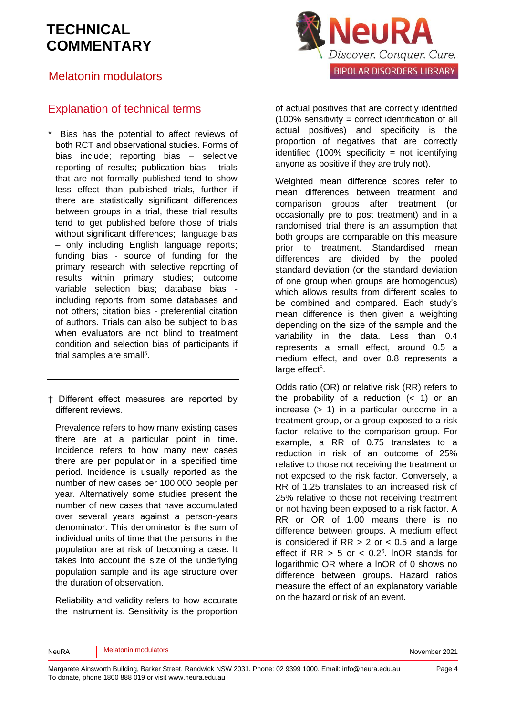## Melatonin modulators



## Explanation of technical terms

Bias has the potential to affect reviews of both RCT and observational studies. Forms of bias include; reporting bias – selective reporting of results; publication bias - trials that are not formally published tend to show less effect than published trials, further if there are statistically significant differences between groups in a trial, these trial results tend to get published before those of trials without significant differences: language bias – only including English language reports; funding bias - source of funding for the primary research with selective reporting of results within primary studies; outcome variable selection bias; database bias including reports from some databases and not others; citation bias - preferential citation of authors. Trials can also be subject to bias when evaluators are not blind to treatment condition and selection bias of participants if trial samples are sma[ll](#page-5-4)<sup>5</sup>.

† Different effect measures are reported by different reviews.

Prevalence refers to how many existing cases there are at a particular point in time. Incidence refers to how many new cases there are per population in a specified time period. Incidence is usually reported as the number of new cases per 100,000 people per year. Alternatively some studies present the number of new cases that have accumulated over several years against a person-years denominator. This denominator is the sum of individual units of time that the persons in the population are at risk of becoming a case. It takes into account the size of the underlying population sample and its age structure over the duration of observation.

Reliability and validity refers to how accurate the instrument is. Sensitivity is the proportion of actual positives that are correctly identified (100% sensitivity = correct identification of all actual positives) and specificity is the proportion of negatives that are correctly identified  $(100\%$  specificity = not identifying anyone as positive if they are truly not).

Weighted mean difference scores refer to mean differences between treatment and comparison groups after treatment (or occasionally pre to post treatment) and in a randomised trial there is an assumption that both groups are comparable on this measure prior to treatment. Standardised mean differences are divided by the pooled standard deviation (or the standard deviation of one group when groups are homogenous) which allows results from different scales to be combined and compared. Each study's mean difference is then given a weighting depending on the size of the sample and the variability in the data. Less than 0.4 represents a small effect, around 0.5 a medium effect, and over 0.8 represents a large effect<sup>[5](#page-5-4)</sup>.

Odds ratio (OR) or relative risk (RR) refers to the probability of a reduction  $(< 1)$  or an increase (> 1) in a particular outcome in a treatment group, or a group exposed to a risk factor, relative to the comparison group. For example, a RR of 0.75 translates to a reduction in risk of an outcome of 25% relative to those not receiving the treatment or not exposed to the risk factor. Conversely, a RR of 1.25 translates to an increased risk of 25% relative to those not receiving treatment or not having been exposed to a risk factor. A RR or OR of 1.00 means there is no difference between groups. A medium effect is considered if  $RR > 2$  or  $< 0.5$  and a large effect if  $RR > 5$  or  $< 0.2<sup>6</sup>$  $< 0.2<sup>6</sup>$  $< 0.2<sup>6</sup>$ . InOR stands for logarithmic OR where a lnOR of 0 shows no difference between groups. Hazard ratios measure the effect of an explanatory variable on the hazard or risk of an event.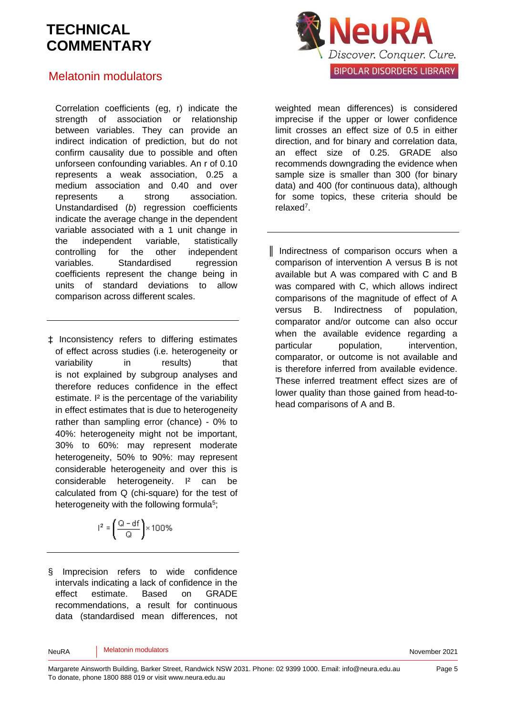### Melatonin modulators

Correlation coefficients (eg, r) indicate the strength of association or relationship between variables. They can provide an indirect indication of prediction, but do not confirm causality due to possible and often unforseen confounding variables. An r of 0.10 represents a weak association, 0.25 a medium association and 0.40 and over represents a strong association. Unstandardised (*b*) regression coefficients indicate the average change in the dependent variable associated with a 1 unit change in the independent variable, statistically controlling for the other independent variables. Standardised regression coefficients represent the change being in units of standard deviations to allow comparison across different scales.

‡ Inconsistency refers to differing estimates of effect across studies (i.e. heterogeneity or variability in results) that is not explained by subgroup analyses and therefore reduces confidence in the effect estimate. I² is the percentage of the variability in effect estimates that is due to heterogeneity rather than sampling error (chance) - 0% to 40%: heterogeneity might not be important, 30% to 60%: may represent moderate heterogeneity, 50% to 90%: may represent considerable heterogeneity and over this is considerable heterogeneity. I² can be calculated from Q (chi-square) for the test of heterogeneity with the following formul[a](#page-5-4)<sup>5</sup>;

$$
l^2=\left(\frac{Q-df}{Q}\right)\times 100\%
$$

§ Imprecision refers to wide confidence intervals indicating a lack of confidence in the effect estimate. Based on GRADE recommendations, a result for continuous data (standardised mean differences, not



weighted mean differences) is considered imprecise if the upper or lower confidence limit crosses an effect size of 0.5 in either direction, and for binary and correlation data, an effect size of 0.25. GRADE also recommends downgrading the evidence when sample size is smaller than 300 (for binary data) and 400 (for continuous data), although for some topics, these criteria should be relaxe[d](#page-5-6)<sup>7</sup>.

║ Indirectness of comparison occurs when a comparison of intervention A versus B is not available but A was compared with C and B was compared with C, which allows indirect comparisons of the magnitude of effect of A versus B. Indirectness of population, comparator and/or outcome can also occur when the available evidence regarding a particular population, intervention, comparator, or outcome is not available and is therefore inferred from available evidence. These inferred treatment effect sizes are of lower quality than those gained from head-tohead comparisons of A and B.

NeuRA Melatonin modulators November 2021